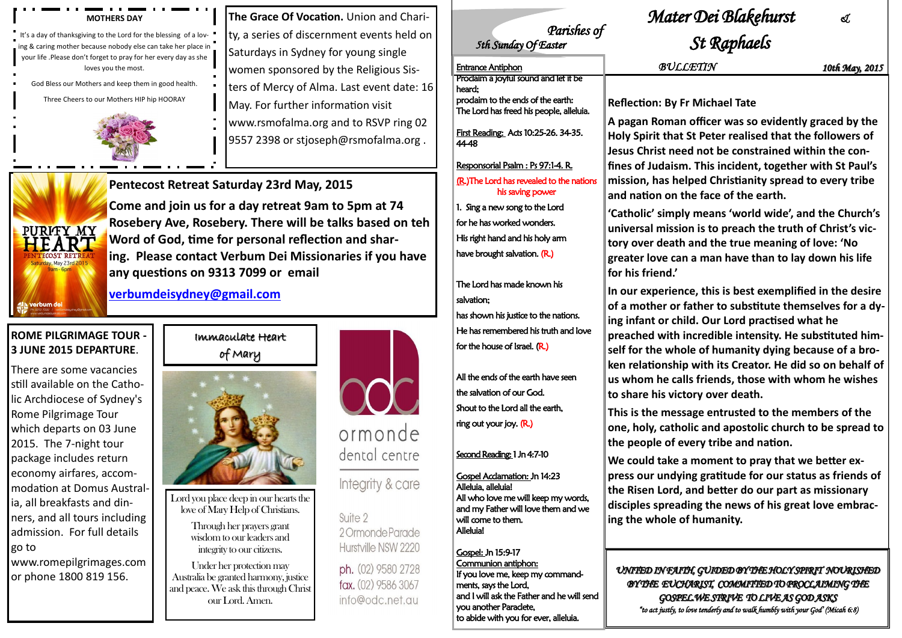## Immaculate Heart of Mary



Lord you place deep in our hearts the love of Mary Help of Christians.

> Through her prayers grant wisdom to our leaders and integrity to our citizens.

Under her protection may Australia be granted harmony, justice and peace. We ask this through Christ our Lord. Amen.



ormonde dental centre

Integrity & care

Suite 2 2 Ormonde Parade Hurstville NSW 2220

ph. (02) 9580 2728 fax. (02) 9586 3067 info@odc.net.au

## **ROME PILGRIMAGE TOUR - 3 JUNE 2015 DEPARTURE**.

There are some vacancies still available on the Catholic Archdiocese of Sydney's Rome Pilgrimage Tour which departs on 03 June 2015. The 7-night tour package includes return economy airfares, accommodation at Domus Australia, all breakfasts and dinners, and all tours including admission. For full details go to

**The Grace Of Vocation.** Union and Charity, a series of discernment events held on Saturdays in Sydney for young single women sponsored by the Religious Sisters of Mercy of Alma. Last event date: 16 May. For further information visit www.rsmofalma.org and to RSVP ring 02 9557 2398 or stjoseph@rsmofalma.org.

www.romepilgrimages.com or phone 1800 819 156.

## **Pentecost Retreat Saturday 23rd May, 2015**



**Come and join us for a day retreat 9am to 5pm at 74 Rosebery Ave, Rosebery. There will be talks based on teh Word of God, time for personal reflection and sharing. Please contact Verbum Dei Missionaries if you have any questions on 9313 7099 or email**

**[verbumdeisydney@gmail.com](mailto:verbumdeisydney@gmail.com)**

#### **MOTHERS DAY**

It's a day of thanksgiving to the Lord for the blessing of a loving & caring mother because nobody else can take her place in your life .Please don't forget to pray for her every day as she loves you the most.

God Bless our Mothers and keep them in good health.

Three Cheers to our Mothers HIP hip HOORAY



# *Mater Dei Blakehurst &*

# *Parishes of*<br> *Sth Sunday* Of Easter

**A pagan Roman officer was so evidently graced by the Holy Spirit that St Peter realised that the followers of**  ed not be constrained within the con**fines of Judaism. This incident, together with St Paul's elped Christianity spread to every tribe and nation on the face of the earth.**

**'Catholic' simply means 'world wide', and the Church's**  ion is to preach the truth of Christ's vic**th and the true meaning of love: 'No greater love can a man have than to lay down his life** 

**In our experience, this is best exemplified in the desire**  father to substitute themselves for a dy**ing infant or child. Our Lord practised what he**  incredible intensity. He substituted himole of humanity dying because of a broip with its Creator. He did so on behalf of **us whom he calls friends, those with whom he wishes to share his victory over death.**

**This is the message entrusted to the members of the olic and apostolic church to be spread to the people of every tribe and nation.**

a moment to pray that we better ex**press our undying gratitude for our status as friends of**  *t***, and better do our part as missionary** ding the news of his great love embrac**of humanity.** 

*UNITED IN FAITH, GUIDED BY THE HOLY SPIRIT NOURISHED BY THE EUCHARIST, COMMITTED TO PROCLAIMING THE GOSPEL.WE STRIVE TO LIVE AS GOD ASKS "to act justly, to love tenderly and to walk humbly with your God' (Micah 6:8)* 

# $St$  Raphaels

| $\sim$                                                                                                                                                                      |                                                                                                                                                                                                                                                                    |
|-----------------------------------------------------------------------------------------------------------------------------------------------------------------------------|--------------------------------------------------------------------------------------------------------------------------------------------------------------------------------------------------------------------------------------------------------------------|
| <b>Entrance Antiphon</b>                                                                                                                                                    | BUL                                                                                                                                                                                                                                                                |
| Proclaim a joyful sound and let it be<br>heard:                                                                                                                             |                                                                                                                                                                                                                                                                    |
| prodaim to the ends of the earth:<br>The Lord has freed his people, alleluia.                                                                                               | <b>Reflection: By</b>                                                                                                                                                                                                                                              |
| First Reading: Acts 10:25-26. 34-35.<br>4448<br>Responsorial Psalm : Ps 97:1-4. R.                                                                                          | A pagan Roma<br><b>Holy Spirit that</b><br><b>Jesus Christ ne</b>                                                                                                                                                                                                  |
| (R.) The Lord has revealed to the nations<br>his saving power                                                                                                               | fines of Judais<br>mission, has ho<br>and nation on<br>'Catholic' simp<br>universal missi<br>tory over deat<br>greater love ca<br>for his friend.'<br>In our experier<br>of a mother or<br>ing infant or ch<br>preached with<br>self for the wh<br>ken relationshi |
| 1. Sing a new song to the Lord<br>for he has worked wonders.<br>His right hand and his holy arm<br>have brought salvation. (R.)                                             |                                                                                                                                                                                                                                                                    |
| The Lord has made known his<br>salvation;<br>has shown his justice to the nations.<br>He has remembered his truth and love<br>for the house of Israel. $(R)$                |                                                                                                                                                                                                                                                                    |
| All the ends of the earth have seen<br>the salvation of our God.<br>Shout to the Lord all the earth,<br>ring out your joy. (R.)                                             | us whom he ca<br>to share his vic<br>This is the mes                                                                                                                                                                                                               |
| Second Reading: 1 Jn 4:7-10                                                                                                                                                 | one, holy, cath<br>the people of<br>We could take                                                                                                                                                                                                                  |
| <b>Gospel Acclamation: Jn 14:23</b><br>Alleluia, alleluia!<br>All who love me will keep my words,<br>and my Father will love them and we<br>will come to them.<br>Alleluia! | press our undy<br>the Risen Lord<br>disciples sprea<br>ing the whole                                                                                                                                                                                               |
| <b>Gospel: Jn 15:9-17</b><br>Communion antiphon:<br>If you love me, keep my command-                                                                                        | UNITED IN FAI                                                                                                                                                                                                                                                      |

Entrance Antiphon *BULLETIN 10th May, 2015*

### **Fr Michael Tate**

ments, says the Lord,

and I will ask the Father and he will send

you another Paraclete,

to abide with you for ever, alleluia.